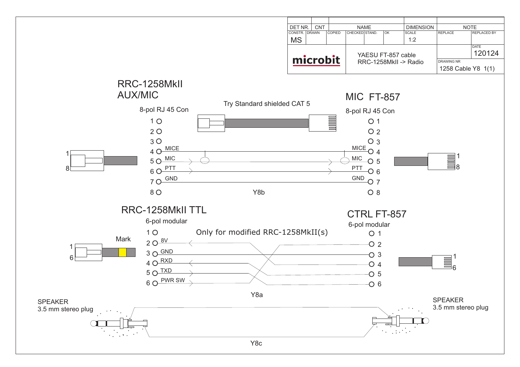